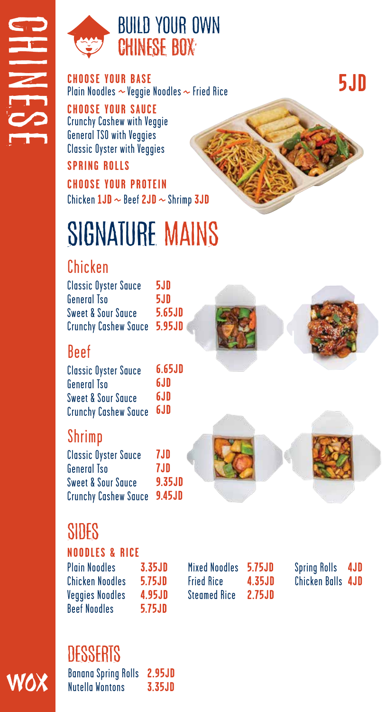

### BUILD YOUR OWN CHINESE BOX

**CHOOSE YOUR BASE** Plain Noodles  $\sim$  Veggie Noodles  $\sim$  Fried Rice

Crunchy Cashew with Veggie General TSO with Veggies Classic Oyster with Veggies **CHOOSE YOUR SAUCE**

#### **SPRING ROLLS**

Chicken  $1JD \sim$  Beef  $2JD \sim$  Shrimp  $3JD$ **CHOOSE YOUR PROTEIN**

# SIGNATURE MAINS

### Chicken

Classic Oyster Sauce General Tso Sweet & Sour Sauce Crunchy Cashew Sauce **5.95JD 5JD 5JD 5.65JD**

### Beef

Classic Oyster Sauce General Tso Sweet & Sour Sauce Crunchy Cashew Sauce **6.65JD 6JD 6JD 6JD**

### Shrimp

**7JD 7JD 9.35JD 9.45JD** Crunchy Cashew Sauce Classic Oyster Sauce General Tso Sweet & Sour Sauce

## SIDES

#### **NOODLES & RICE**

Plain Noodles Chicken Noodles Veggies Noodles Beef Noodles **3.35JD 5.75JD 4.95JD 5.75JD**

**5.75JD** Mixed Noodles **4.35JD 2.75JD** Fried Rice Steamed Rice

Spring Rolls Chicken Balls **4JD4JD**

### **DESSERTS**

VOX

Banana Spring Rolls Nutella Wontons **2.95JD 3.35JD**

**5JD**